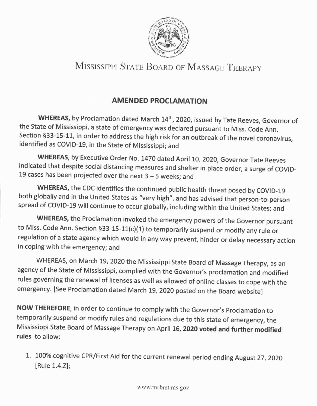

## MISSISSIPPI STATE BOARD OF MASSAGE THERAPY

## **AMENDED PROCLAMATION**

WHEREAS, by Proclamation dated March 14<sup>th</sup>, 2020, issued by Tate Reeves, Governor of the state of Mississippi, a state of emergency was declared pursuant to Miss. code Ann. section 533-15-11, in order to address the high risk for an outbreak of the novel coronavirus, identified as COVID-19, in the State of Mississippi; and

WHEREAS, by Executive Order No. 1470 dated April 10, 2020, Governor Tate Reeves indicated that despite social distancing measures and shelter in place order, a surge of covlD-19 cases has been projected over the next  $3 - 5$  weeks; and

WHEREAS, the CDC identifies the continued public health threat posed by COVID-19 both globally and in the United States as "very high", and has advised that person-to-person spread of COVID-19 will continue to occur globally, including within the United States; and

WHEREAS, the Proclamation invoked the emergency powers of the Governor pursuant to Miss. Code Ann. Section §33-15-11(c)(1) to temporarily suspend or modify any rule or regulation of a state agency which would in any way prevent, hinder or delay necessary action in coping with the emergency; and

WHEREAS, on March 19, 2020 the Mississippi State Board of Massage Therapy, as an agency of the State of Mississippi, complied with the Governor's proclamation and modified rules governing the renewal of licenses as well as allowed of online classes to cope with the emergency. [see Proclamation dated March 19, 2020 posted on the Board website]

NOW THEREFORE, in order to continue to comply with the Governor's Proclamation to temporarily suspend or modify rules and regulations due to this state of emergency, the Mississippi State Board of Massage Therapy on April 16, 2020 voted and further modified rules to allow:

1. 100% cognitive CPR/First Aid for the current renewal period ending August 27, 2020 [Rule 1.4.2];